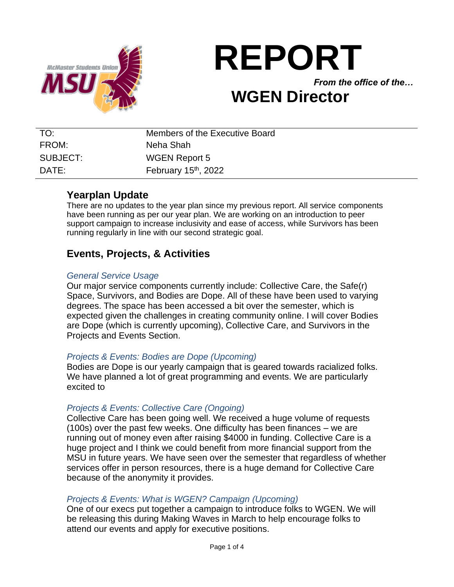

# **REPORT** *From the office of the…* **WGEN Director**

# TO: Members of the Executive Board FROM: Neha Shah SUBJECT: WGEN Report 5 DATE: February 15<sup>th</sup>, 2022

## **Yearplan Update**

There are no updates to the year plan since my previous report. All service components have been running as per our year plan. We are working on an introduction to peer support campaign to increase inclusivity and ease of access, while Survivors has been running regularly in line with our second strategic goal.

# **Events, Projects, & Activities**

#### *General Service Usage*

Our major service components currently include: Collective Care, the Safe(r) Space, Survivors, and Bodies are Dope. All of these have been used to varying degrees. The space has been accessed a bit over the semester, which is expected given the challenges in creating community online. I will cover Bodies are Dope (which is currently upcoming), Collective Care, and Survivors in the Projects and Events Section.

#### *Projects & Events: Bodies are Dope (Upcoming)*

Bodies are Dope is our yearly campaign that is geared towards racialized folks. We have planned a lot of great programming and events. We are particularly excited to

#### *Projects & Events: Collective Care (Ongoing)*

Collective Care has been going well. We received a huge volume of requests (100s) over the past few weeks. One difficulty has been finances – we are running out of money even after raising \$4000 in funding. Collective Care is a huge project and I think we could benefit from more financial support from the MSU in future years. We have seen over the semester that regardless of whether services offer in person resources, there is a huge demand for Collective Care because of the anonymity it provides.

#### *Projects & Events: What is WGEN? Campaign (Upcoming)*

One of our execs put together a campaign to introduce folks to WGEN. We will be releasing this during Making Waves in March to help encourage folks to attend our events and apply for executive positions.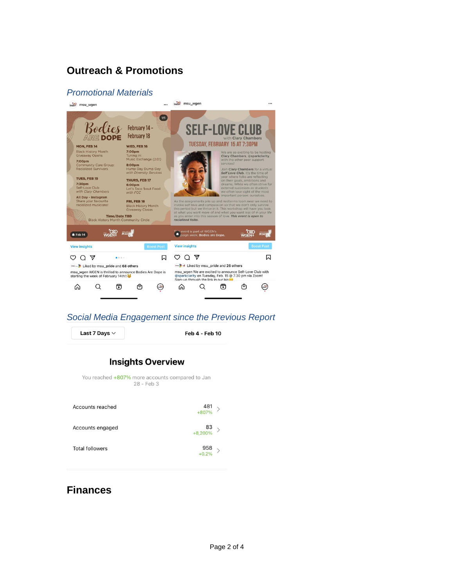# **Outreach & Promotions**

#### *Promotional Materials*



#### *Social Media Engagement since the Previous Report*

Last 7 Days  $\vee$ 

**Feb 4 - Feb 10** 

### **Insights Overview**

You reached +807% more accounts compared to Jan 28 - Feb 3

| Accounts reached       | $481$ > +807%  |  |
|------------------------|----------------|--|
| Accounts engaged       | $83$ > +8,200% |  |
| <b>Total followers</b> | $958$ > +0.2%  |  |

## **Finances**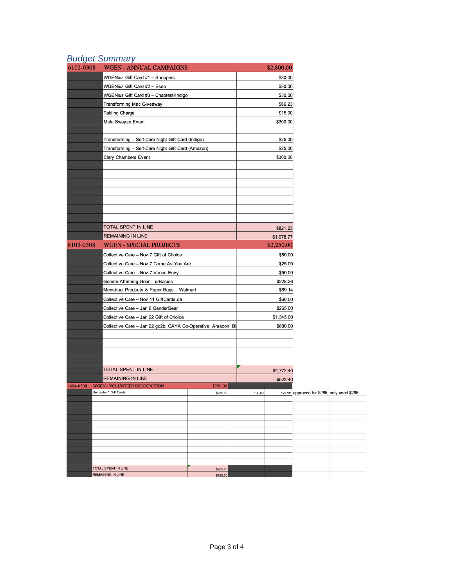## *Budget Summary*

| WGENius Gift Card #1 - Shoppers<br>\$30.00<br>\$30.00<br>WGENius Gift Card #2 - Esso<br>\$30.00<br>WGENius Gift Card #3 - Chapters/Indigo<br>\$66.23<br><b>Transforming Mac Giveaway</b><br>\$15.00<br><b>Tabling Charge</b><br>Mela Swayze Event<br>\$300.00<br>\$25.00<br>Transforming - Self-Care Night Gift Card (Indigo)<br>\$25.00<br>Transforming - Self-Care Night Gift Card (Amazon)<br>\$300.00<br>Clary Chambers Event<br>TOTAL SPENT IN LINE<br>\$821.23<br><b>REMAINING IN LINE</b><br>\$1,978.77<br>6103-0308<br><b>WGEN - SPECIAL PROJECTS</b><br>\$2,250.00<br>Collective Care - Nov 7 Gift of Choice<br>\$50.00<br>Collective Care - Nov 7 Come As You Are<br>\$25.00<br>Collective Care - Nov 7 Venus Envy<br>\$50.00<br>Gender-Affirming Gear - urBasics<br>\$228.26<br>Menstrual Products & Paper Bags - Walmart<br>\$69.14<br>Collective Care - Nov 11 GiftCards.ca<br>\$60.00<br>Collective Care - Jan 6 GenderGear<br>\$265.00<br>Collective Care - Jan 22 Gift of Choice<br>\$1,345.00<br>Collective Care - Jan 22 gc2b, CAYA Co-Operative, Amazon, Bl.<br>\$680.00<br>TOTAL SPENT IN LINE<br>\$2,772.40<br><b>REMAINING IN LINE</b><br>$-$522.40$<br>6494-0308<br><b>WGEN - VOLUNTEER RECOGNITION</b><br>\$750.00<br>Semester 1 Gift Cards<br>\$265.00<br>$10$ -Dec<br><b>TOTAL SPENT IN LINE</b><br>\$265.00 | 6102-0308 | <b>WGEN - ANNUAL CAMPAIGNS</b> |          |  | \$2,800.00 |  |  |  |
|----------------------------------------------------------------------------------------------------------------------------------------------------------------------------------------------------------------------------------------------------------------------------------------------------------------------------------------------------------------------------------------------------------------------------------------------------------------------------------------------------------------------------------------------------------------------------------------------------------------------------------------------------------------------------------------------------------------------------------------------------------------------------------------------------------------------------------------------------------------------------------------------------------------------------------------------------------------------------------------------------------------------------------------------------------------------------------------------------------------------------------------------------------------------------------------------------------------------------------------------------------------------------------------------------------------------------------------|-----------|--------------------------------|----------|--|------------|--|--|--|
|                                                                                                                                                                                                                                                                                                                                                                                                                                                                                                                                                                                                                                                                                                                                                                                                                                                                                                                                                                                                                                                                                                                                                                                                                                                                                                                                        |           |                                |          |  |            |  |  |  |
|                                                                                                                                                                                                                                                                                                                                                                                                                                                                                                                                                                                                                                                                                                                                                                                                                                                                                                                                                                                                                                                                                                                                                                                                                                                                                                                                        |           |                                |          |  |            |  |  |  |
|                                                                                                                                                                                                                                                                                                                                                                                                                                                                                                                                                                                                                                                                                                                                                                                                                                                                                                                                                                                                                                                                                                                                                                                                                                                                                                                                        |           |                                |          |  |            |  |  |  |
|                                                                                                                                                                                                                                                                                                                                                                                                                                                                                                                                                                                                                                                                                                                                                                                                                                                                                                                                                                                                                                                                                                                                                                                                                                                                                                                                        |           |                                |          |  |            |  |  |  |
|                                                                                                                                                                                                                                                                                                                                                                                                                                                                                                                                                                                                                                                                                                                                                                                                                                                                                                                                                                                                                                                                                                                                                                                                                                                                                                                                        |           |                                |          |  |            |  |  |  |
|                                                                                                                                                                                                                                                                                                                                                                                                                                                                                                                                                                                                                                                                                                                                                                                                                                                                                                                                                                                                                                                                                                                                                                                                                                                                                                                                        |           |                                |          |  |            |  |  |  |
|                                                                                                                                                                                                                                                                                                                                                                                                                                                                                                                                                                                                                                                                                                                                                                                                                                                                                                                                                                                                                                                                                                                                                                                                                                                                                                                                        |           |                                |          |  |            |  |  |  |
|                                                                                                                                                                                                                                                                                                                                                                                                                                                                                                                                                                                                                                                                                                                                                                                                                                                                                                                                                                                                                                                                                                                                                                                                                                                                                                                                        |           |                                |          |  |            |  |  |  |
|                                                                                                                                                                                                                                                                                                                                                                                                                                                                                                                                                                                                                                                                                                                                                                                                                                                                                                                                                                                                                                                                                                                                                                                                                                                                                                                                        |           |                                |          |  |            |  |  |  |
|                                                                                                                                                                                                                                                                                                                                                                                                                                                                                                                                                                                                                                                                                                                                                                                                                                                                                                                                                                                                                                                                                                                                                                                                                                                                                                                                        |           |                                |          |  |            |  |  |  |
|                                                                                                                                                                                                                                                                                                                                                                                                                                                                                                                                                                                                                                                                                                                                                                                                                                                                                                                                                                                                                                                                                                                                                                                                                                                                                                                                        |           |                                |          |  |            |  |  |  |
|                                                                                                                                                                                                                                                                                                                                                                                                                                                                                                                                                                                                                                                                                                                                                                                                                                                                                                                                                                                                                                                                                                                                                                                                                                                                                                                                        |           |                                |          |  |            |  |  |  |
|                                                                                                                                                                                                                                                                                                                                                                                                                                                                                                                                                                                                                                                                                                                                                                                                                                                                                                                                                                                                                                                                                                                                                                                                                                                                                                                                        |           |                                |          |  |            |  |  |  |
|                                                                                                                                                                                                                                                                                                                                                                                                                                                                                                                                                                                                                                                                                                                                                                                                                                                                                                                                                                                                                                                                                                                                                                                                                                                                                                                                        |           |                                |          |  |            |  |  |  |
|                                                                                                                                                                                                                                                                                                                                                                                                                                                                                                                                                                                                                                                                                                                                                                                                                                                                                                                                                                                                                                                                                                                                                                                                                                                                                                                                        |           |                                |          |  |            |  |  |  |
|                                                                                                                                                                                                                                                                                                                                                                                                                                                                                                                                                                                                                                                                                                                                                                                                                                                                                                                                                                                                                                                                                                                                                                                                                                                                                                                                        |           |                                |          |  |            |  |  |  |
|                                                                                                                                                                                                                                                                                                                                                                                                                                                                                                                                                                                                                                                                                                                                                                                                                                                                                                                                                                                                                                                                                                                                                                                                                                                                                                                                        |           |                                |          |  |            |  |  |  |
|                                                                                                                                                                                                                                                                                                                                                                                                                                                                                                                                                                                                                                                                                                                                                                                                                                                                                                                                                                                                                                                                                                                                                                                                                                                                                                                                        |           |                                |          |  |            |  |  |  |
|                                                                                                                                                                                                                                                                                                                                                                                                                                                                                                                                                                                                                                                                                                                                                                                                                                                                                                                                                                                                                                                                                                                                                                                                                                                                                                                                        |           |                                |          |  |            |  |  |  |
|                                                                                                                                                                                                                                                                                                                                                                                                                                                                                                                                                                                                                                                                                                                                                                                                                                                                                                                                                                                                                                                                                                                                                                                                                                                                                                                                        |           |                                |          |  |            |  |  |  |
|                                                                                                                                                                                                                                                                                                                                                                                                                                                                                                                                                                                                                                                                                                                                                                                                                                                                                                                                                                                                                                                                                                                                                                                                                                                                                                                                        |           |                                |          |  |            |  |  |  |
| 127701 approved for \$285, only used \$265                                                                                                                                                                                                                                                                                                                                                                                                                                                                                                                                                                                                                                                                                                                                                                                                                                                                                                                                                                                                                                                                                                                                                                                                                                                                                             |           |                                |          |  |            |  |  |  |
|                                                                                                                                                                                                                                                                                                                                                                                                                                                                                                                                                                                                                                                                                                                                                                                                                                                                                                                                                                                                                                                                                                                                                                                                                                                                                                                                        |           |                                |          |  |            |  |  |  |
|                                                                                                                                                                                                                                                                                                                                                                                                                                                                                                                                                                                                                                                                                                                                                                                                                                                                                                                                                                                                                                                                                                                                                                                                                                                                                                                                        |           |                                |          |  |            |  |  |  |
|                                                                                                                                                                                                                                                                                                                                                                                                                                                                                                                                                                                                                                                                                                                                                                                                                                                                                                                                                                                                                                                                                                                                                                                                                                                                                                                                        |           |                                |          |  |            |  |  |  |
|                                                                                                                                                                                                                                                                                                                                                                                                                                                                                                                                                                                                                                                                                                                                                                                                                                                                                                                                                                                                                                                                                                                                                                                                                                                                                                                                        |           |                                |          |  |            |  |  |  |
|                                                                                                                                                                                                                                                                                                                                                                                                                                                                                                                                                                                                                                                                                                                                                                                                                                                                                                                                                                                                                                                                                                                                                                                                                                                                                                                                        |           |                                |          |  |            |  |  |  |
|                                                                                                                                                                                                                                                                                                                                                                                                                                                                                                                                                                                                                                                                                                                                                                                                                                                                                                                                                                                                                                                                                                                                                                                                                                                                                                                                        |           |                                |          |  |            |  |  |  |
|                                                                                                                                                                                                                                                                                                                                                                                                                                                                                                                                                                                                                                                                                                                                                                                                                                                                                                                                                                                                                                                                                                                                                                                                                                                                                                                                        |           |                                |          |  |            |  |  |  |
|                                                                                                                                                                                                                                                                                                                                                                                                                                                                                                                                                                                                                                                                                                                                                                                                                                                                                                                                                                                                                                                                                                                                                                                                                                                                                                                                        |           |                                |          |  |            |  |  |  |
|                                                                                                                                                                                                                                                                                                                                                                                                                                                                                                                                                                                                                                                                                                                                                                                                                                                                                                                                                                                                                                                                                                                                                                                                                                                                                                                                        |           |                                |          |  |            |  |  |  |
|                                                                                                                                                                                                                                                                                                                                                                                                                                                                                                                                                                                                                                                                                                                                                                                                                                                                                                                                                                                                                                                                                                                                                                                                                                                                                                                                        |           |                                |          |  |            |  |  |  |
|                                                                                                                                                                                                                                                                                                                                                                                                                                                                                                                                                                                                                                                                                                                                                                                                                                                                                                                                                                                                                                                                                                                                                                                                                                                                                                                                        |           |                                |          |  |            |  |  |  |
|                                                                                                                                                                                                                                                                                                                                                                                                                                                                                                                                                                                                                                                                                                                                                                                                                                                                                                                                                                                                                                                                                                                                                                                                                                                                                                                                        |           |                                |          |  |            |  |  |  |
|                                                                                                                                                                                                                                                                                                                                                                                                                                                                                                                                                                                                                                                                                                                                                                                                                                                                                                                                                                                                                                                                                                                                                                                                                                                                                                                                        |           |                                |          |  |            |  |  |  |
|                                                                                                                                                                                                                                                                                                                                                                                                                                                                                                                                                                                                                                                                                                                                                                                                                                                                                                                                                                                                                                                                                                                                                                                                                                                                                                                                        |           |                                |          |  |            |  |  |  |
|                                                                                                                                                                                                                                                                                                                                                                                                                                                                                                                                                                                                                                                                                                                                                                                                                                                                                                                                                                                                                                                                                                                                                                                                                                                                                                                                        |           |                                |          |  |            |  |  |  |
|                                                                                                                                                                                                                                                                                                                                                                                                                                                                                                                                                                                                                                                                                                                                                                                                                                                                                                                                                                                                                                                                                                                                                                                                                                                                                                                                        |           |                                |          |  |            |  |  |  |
|                                                                                                                                                                                                                                                                                                                                                                                                                                                                                                                                                                                                                                                                                                                                                                                                                                                                                                                                                                                                                                                                                                                                                                                                                                                                                                                                        |           |                                |          |  |            |  |  |  |
|                                                                                                                                                                                                                                                                                                                                                                                                                                                                                                                                                                                                                                                                                                                                                                                                                                                                                                                                                                                                                                                                                                                                                                                                                                                                                                                                        |           |                                |          |  |            |  |  |  |
|                                                                                                                                                                                                                                                                                                                                                                                                                                                                                                                                                                                                                                                                                                                                                                                                                                                                                                                                                                                                                                                                                                                                                                                                                                                                                                                                        |           |                                |          |  |            |  |  |  |
|                                                                                                                                                                                                                                                                                                                                                                                                                                                                                                                                                                                                                                                                                                                                                                                                                                                                                                                                                                                                                                                                                                                                                                                                                                                                                                                                        |           |                                |          |  |            |  |  |  |
|                                                                                                                                                                                                                                                                                                                                                                                                                                                                                                                                                                                                                                                                                                                                                                                                                                                                                                                                                                                                                                                                                                                                                                                                                                                                                                                                        |           |                                |          |  |            |  |  |  |
|                                                                                                                                                                                                                                                                                                                                                                                                                                                                                                                                                                                                                                                                                                                                                                                                                                                                                                                                                                                                                                                                                                                                                                                                                                                                                                                                        |           |                                |          |  |            |  |  |  |
|                                                                                                                                                                                                                                                                                                                                                                                                                                                                                                                                                                                                                                                                                                                                                                                                                                                                                                                                                                                                                                                                                                                                                                                                                                                                                                                                        |           |                                |          |  |            |  |  |  |
|                                                                                                                                                                                                                                                                                                                                                                                                                                                                                                                                                                                                                                                                                                                                                                                                                                                                                                                                                                                                                                                                                                                                                                                                                                                                                                                                        |           | <b>REMAINING IN LINE</b>       | \$485.00 |  |            |  |  |  |